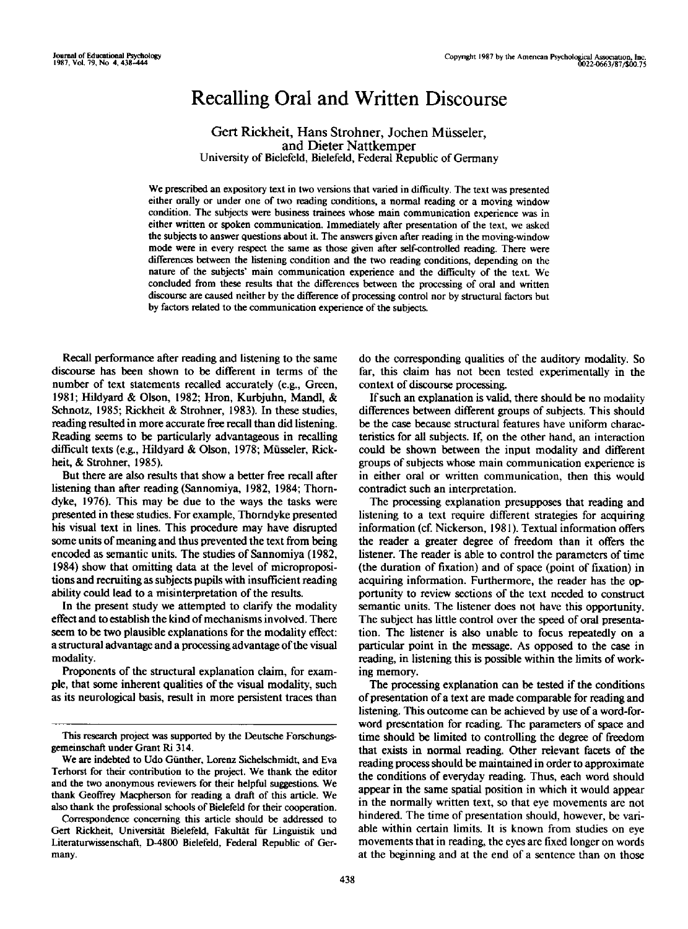# **Recalling Oral and Written Discourse**

**Gert Rickheit, Hans Strohner, Jochen Miisseler,**  and Dieter Nattkemper University of Bielefeld, Bielefeld, Federal Republic of Germany

We prescribed an expository text in two versions that varied in difficulty. The text was presented either orally or under one of two reading conditions, a normal reading or a moving window condition. The subjects were business trainees whose main communication experience was in either written or spoken communication. Immediately after presentation of the text, we asked the subjects to answer questions about it. The answers given after reading in the moving-window mode were in every respect the same as those given after self-controlled reading. There were differences between the listening condition and the two reading conditions, depending on the nature of the subjects' main communication experience and the difficulty of the text. We concluded from these results that the differences between the processing of oral and written discourse are caused neither by the difference of processing control nor by structural factors but by factors related to the communication experience of the subjects.

Recall performance after reading and listening to the same discourse has been shown to be different in terms of the number of text statements recalled accurately (e.g., Green, 1981; Hildyard & Olson, 1982; Hron, Kurbjuhn, Mandl, & Schnotz, 1985; Rickheit & Strohner, 1983). In these studies, reading resulted in more accurate free recall than did listening. Reading seems to be particularly advantageous in recalling difficult texts (e.g., Hildyard & Olson, 1978; Müsseler, Rickheit, & Strohner, 1985).

But there are also results that show a better free recall after listening than after reading (Sannomiya, 1982, 1984; Thorndyke, 1976). This may be due to the ways the tasks were presented in these studies. For example, Thorndyke presented his visual text in lines. This procedure may have disrupted some units of meaning and thus prevented the text from being encoded as semantic units. The studies of Sannomiya (1982, 1984) show that omitting data at the level of micropropositions and recruiting as subjects pupils with insufficient reading ability could lead to a misinterpretation of the results.

In the present study we attempted to clarify the modality effect and to establish the kind of mechanisms involved. There seem to be two plausible explanations for the modality effect: a structural advantage and a processing advantage of the visual modality.

Proponents of the structural explanation claim, for example, that some inherent qualities of the visual modality, such as its neurological basis, result in more persistent traces than do the corresponding qualities of the auditory modality. So far, this claim has not been tested experimentally in the context of discourse processing.

If such an explanation is valid, there should be no modality differences between different groups of subjects. This should be the case because structural features have uniform characteristics for all subjects. If, on the other hand, an interaction could be shown between the input modality and different groups of subjects whose main communication experience is in either oral or written communication, then this would contradict such an interpretation.

The processing explanation presupposes that reading and listening to a text require different strategies for acquiring information (cf. Nickerson, 1981). Textual information offers the reader a greater degree of freedom than it offers the listener. The reader is able to control the parameters of time (the duration of fixation) and of space (point of fixation) in acquiring information. Furthermore, the reader has the opportunity to review sections of the text needed to construct semantic units. The listener does not have this opportunity. The subject has little control over the speed of oral presentation. The listener is also unable to focus repeatedly on a particular point in the message. As opposed to the case in reading, in listening this is possible within the limits of working memory.

The processing explanation can be tested if the conditions of presentation of a text are made comparable for reading and listening. This outcome can be achieved by use of a word-forword presentation for reading. The parameters of space and time should be limited to controlling the degree of freedom that exists in normal reading. Other relevant facets of the reading process should be maintained in order to approximate the conditions of everyday reading. Thus, each word should appear in the same spatial position in which it would appear in the normally written text, so that eye movements are not hindered. The time of presentation should, however, be variable within certain limits. It is known from studies on eye movements that in reading, the eyes are fixed longer on words at the beginning and at the end of a sentence than on those

This research project was supported by the Deutsche Forschungsgemeinschaft under Grant Ri 314.

We are indebted to Udo Günther, Lorenz Sichelschmidt, and Eva Terhorst for their contribution to the project. We thank the editor and the two anonymous reviewers for their helpful suggestions. We thank Geoffrey Macpherson for reading a draft of this article. We also thank the professional schools of Bielefeld for their cooperation.

Correspondence concerning this article should be addressed to Gert Rickheit, Universität Bielefeld, Fakultät für Linguistik und Literaturwissenschaft, D-4800 Bielefeld, Federal Republic of Germany.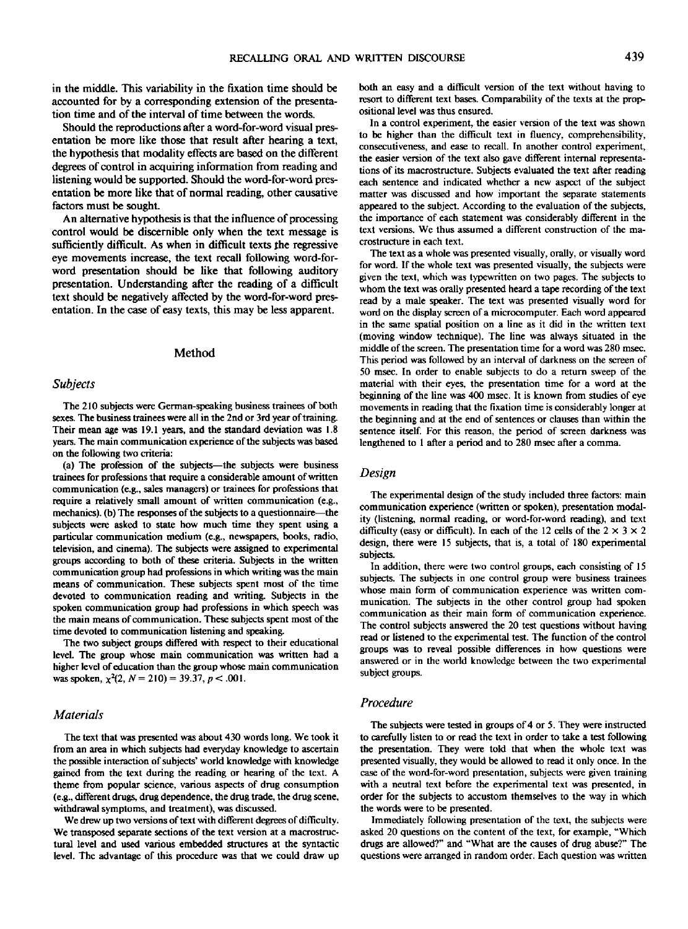in the middle. This variability in the fixation time should be accounted for by a corresponding extension of the presentation time and of the interval of time between the words.

Should the reproductions after a word-for-word visual presentation be more like those that result after hearing a text, the hypothesis that modality effects are based on the different degrees of control in acquiring information from reading and listening would be supported. Should the word-for-word presentation be more like that of normal reading, other causative factors must be sought.

An alternative hypothesis is that the influence of processing control would be discernible only when the text message is sufficiently difficult. As when in difficult texts the regressive eye movements increase, the text recall following word-forword presentation should be like that following auditory presentation. Understanding after the reading of a difficult text should be negatively affected by the word-for-word presentation. In the case of easy texts, this may be less apparent.

## Method

### *Subjects*

The 210 subjects were German-speaking business trainees of both sexes. The business trainees were all in the 2nd or 3rd year of training. Their mean age was 19.1 years, and the standard deviation was 1.8 years. The main communication experience of the subjects was based on the following two criteria:

(a) The profession of the subjects---the subjects were business trainees for professions that require a considerable amount of written communication (e.g., sales managers) or trainees for professions that require a relatively small amount of written communication (e.g., mechanics). (b) The responses of the subjects to a questionnaire—the subjects were asked to state how much time they spent using a particular communication medium (e.g., newspapers, books, radio, television, and cinema). The subjects were assigned to experimental groups according to both of these criteria. Subjects in the written communication group had professions in which writing was the main means of communication. These subjects spent most of the time devoted to communication reading and writing. Subjects in the spoken communication group had professions in which speech was the main means of communication. These subjects spent most of the time devoted to communication listening and speaking.

The two subject groups differed with respect to their educational level. The group whose main communication was written had a higher level of education than the group whose main communication was spoken,  $\chi^2(2, N = 210) = 39.37, p < .001$ .

## *Materials*

The text that was presented was about 430 words long. We took it from an area in which subjects had everyday knowledge to ascertain the possible interaction of subjects' world knowledge with knowledge gained from the text during the reading or hearing of the text. A theme from popular science, various aspects of drug consumption (e.g., different drugs, drug dependence, the drug trade, the drug scene, withdrawal symptoms, and treatment), was discussed.

We drew up two versions of text with different degrees of difficulty. We transposed separate sections of the text version at a macrostructural level and used various embedded structures at the syntactic level. The advantage of this procedure was that we could draw up both an easy and a difficult version of the text without having to resort to different text bases. Comparability of the texts at the propositional level was thus ensured.

In a control experiment, the easier version of the text was shown to be higher than the difficult text in fluency, comprehensibility, consecutiveness, and ease to recall. In another control experiment, the easier version of the text also gave different internal representations of its macrostructure. Subjects evaluated the text after reading each sentence and indicated whether a new aspect of the subject matter was discussed and how important the separate statements appeared to the subject. According to the evaluation of the subjects, the importance of each statement was considerably different in the text versions. We thus assumed a different construction of the macrostructure in each text.

The text as a whole was presented visually, orally, or visually word for word. If the whole text was presented visually, the subjects were given the text, which was typewritten on two pages. The subjects to whom the text was orally presented heard a tape recording of the text read by a male speaker. The text was presented visually word for word on the display screen of a microcomputer. Each word appeared in the same spatial position on a line as it did in the written text (moving window technique). The line was always situated in the middle of the screen. The presentation time for a word was 280 msec. This period was followed by an interval of darkness on the screen of 50 msec. In order to enable subjects to do a return sweep of the material with their eyes, the presentation time for a word at the beginning of the line was 400 msec. It is known from studies of eye movements in reading that the fixation time is considerably longer at the beginning and at the end of sentences or clauses than within the sentence itself. For this reason, the period of screen darkness was lengthened to 1 after a period and to 280 msec after a comma.

#### *Design*

The experimental design of the study included three factors: main communication experience (written or spoken), presentation modality (listening, normal reading, or word-for-word reading), and text difficulty (easy or difficult). In each of the 12 cells of the  $2 \times 3 \times 2$ design, there were 15 subjects, that is, a total of 180 experimental subjects.

In addition, there were two control groups, each consisting of 15 subjects. The subjects in one control group were business trainees whose main form of communication experience was written communication. The subjects in the other control group had spoken communication as their main form of communication experience. The control subjects answered the 20 test questions without having read or listened to the experimental test. The function of the control groups was to reveal possible differences in how questions were answered or in the world knowledge between the two experimental subject groups.

### *Procedure*

The subjects were tested in groups of 4 or 5. They were instructed to carefully listen to or read the text in order to take a test following the presentation. They were told that when the whole text was presented visually, they would be allowed to read it only once. In the case of the word-for-word presentation, subjects were given training with a neutral text before the experimental text was presented, in order for the subjects to accustom themselves to the way in which the words were to be presented.

Immediately following presentation of the text, the subjects were asked 20 questions on the content of the text, for example, "Which drugs are allowed?" and "What are the causes of drug abuse?" The questions were arranged in random order. Each question was written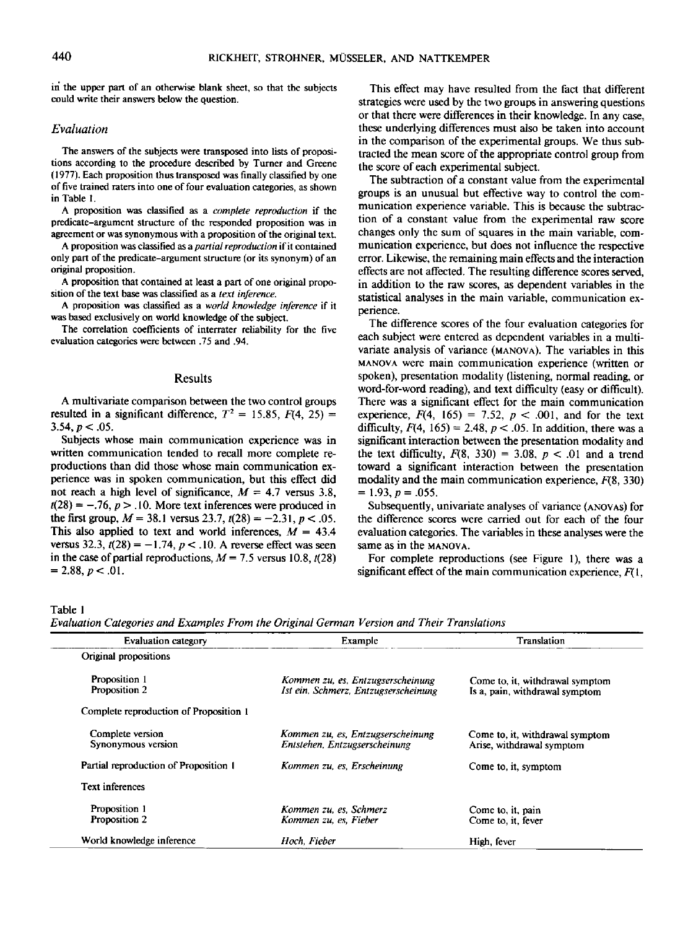in the upper part of an otherwise blank sheet, so that the subjects could write their answers below the question.

#### *Evaluation*

The answers of the subjects were transposed into lists of propositions according to the procedure described by Turner and Greene (1977). Each proposition thus transposed was finally classified by one of five trained raters into one of four evaluation categories, as shown in Table 1.

A proposition was classified as a *complete reproduction* if the predicate-argument structure of the responded proposition was in agreement or was synonymous with a proposition of the original text.

A proposition was classified as a *partial reproduction* if it contained only part of the predicate-argument structure (or its synonym) of an original proposition.

A proposition that contained at least a part of one original proposition of the text base was classified as a *text inference.* 

A proposition was classified as a *world knowledge inference* if it was based exclusively on world knowledge of the subject.

The correlation coefficients of interrater reliability for the five evaluation categories were between .75 and .94.

#### **Results**

A multivariate comparison between the two control groups resulted in a significant difference,  $T^2 = 15.85$ ,  $F(4, 25) =$  $3.54, p < .05.$ 

Subjects whose main communication experience was in written communication tended to recall more complete reproductions than did those whose main communication experience was in spoken communication, but this effect did not reach a high level of significance,  $M = 4.7$  versus 3.8,  $t(28) = -.76$ ,  $p > .10$ . More text inferences were produced in the first group,  $M = 38.1$  versus 23.7,  $t(28) = -2.31$ ,  $p < .05$ . This also applied to text and world inferences,  $M = 43.4$ versus 32.3,  $t(28) = -1.74$ ,  $p < .10$ . A reverse effect was seen in the case of partial reproductions,  $M = 7.5$  versus 10.8,  $t(28)$  $= 2.88, p < .01.$ 

This effect may have resulted from the fact that different strategies were used by the two groups in answering questions or that there were differences in their knowledge. In any case, these underlying differences must also be taken into account in the comparison of the experimental groups. We thus subtracted the mean score of the appropriate control group from the score of each experimental subject.

The subtraction of a constant value from the experimental groups is an unusual but effective way to control the communication experience variable. This is because the subtraction of a constant value from the experimental raw score changes only the sum of squares in the main variable, communication experience, but does not influence the respective error. Likewise, the remaining main effects and the interaction effects are not affected. The resulting difference scores served, in addition to the raw scores, as dependent variables in the statistical analyses in the main variable, communication experience.

The difference scores of the four evaluation categories for each subject were entered as dependent variables in a multivariate analysis of variance (MANOVA). The variables in this MANOVA were main communication experience (written or spoken), presentation modality (listening, normal reading, or word-for-word reading), and text difficulty (easy or difficult). There was a significant effect for the main communication experience,  $F(4, 165) = 7.52$ ,  $p < .001$ , and for the text difficulty,  $F(4, 165) = 2.48$ ,  $p < .05$ . In addition, there was a significant interaction between the presentation modality and the text difficulty,  $F(8, 330) = 3.08$ ,  $p < .01$  and a trend toward a significant interaction between the presentation modality and the main communication experience, F(8, 330)  $= 1.93, p = .055.$ 

Subsequently, univariate analyses of variance (ANOVAS) for the difference scores were carried out for each of the four evaluation categories. The variables in these analyses were the same as in the MANOVA.

For complete reproductions (see Figure l), there was a significant effect of the main communication experience,  $F(1)$ ,

Table **<sup>1</sup>**

*Evaluation Categories and Examples From the Original German Version and Their Translations* 

| Evaluation category                    | Example                              | Translation                     |
|----------------------------------------|--------------------------------------|---------------------------------|
| Original propositions                  |                                      |                                 |
| Proposition 1                          | Kommen zu, es, Entzugserscheinung    | Come to, it, withdrawal symptom |
| Proposition 2                          | Ist ein, Schmerz, Entzugserscheinung | Is a, pain, withdrawal symptom  |
| Complete reproduction of Proposition 1 |                                      |                                 |
| Complete version                       | Kommen zu, es, Entzugserscheinung    | Come to, it, withdrawal symptom |
| Synonymous version                     | Entstehen, Entzugserscheinung        | Arise, withdrawal symptom       |
| Partial reproduction of Proposition 1  | Kommen zu, es, Erscheinung           | Come to, it, symptom            |
| <b>Text inferences</b>                 |                                      |                                 |
| Proposition 1                          | Kommen zu, es, Schmerz               | Come to, it, pain               |
| Proposition 2                          | Kommen zu, es, Fieber                | Come to, it, fever              |
| World knowledge inference              | Hoch, Fieber                         | High, fever                     |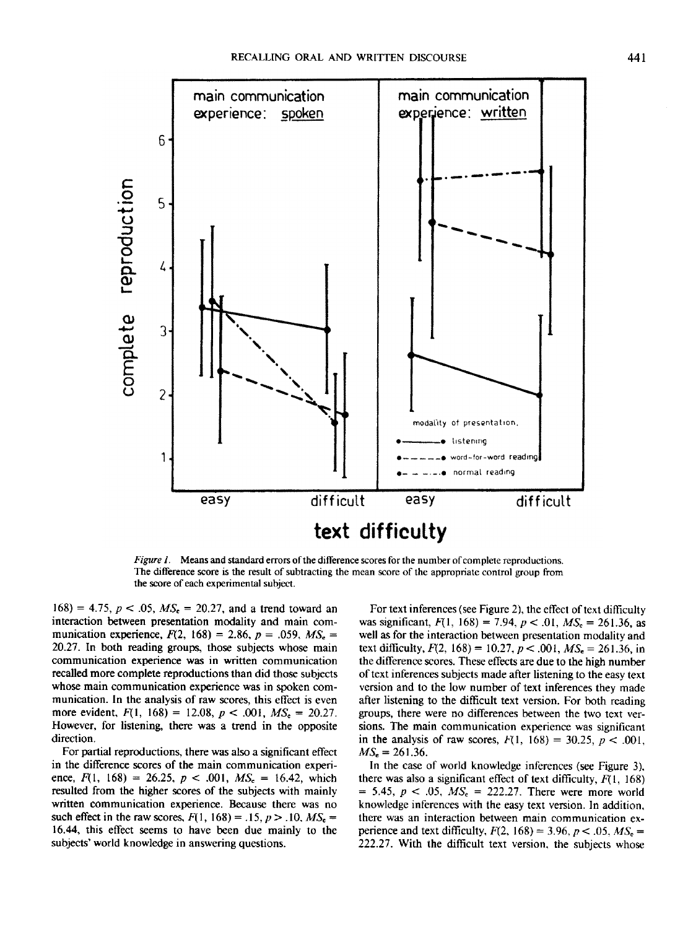

*Figure 1.* Means and standard errors of the difference scores for the number of complete reproductions. The difference score is the result of subtracting the mean score of the appropriate control group from the score of each experimental subject.

168) = 4.75,  $p < .05$ ,  $MS_e = 20.27$ , and a trend toward an interaction between presentation modality and main communication experience,  $F(2, 168) = 2.86$ ,  $p = .059$ ,  $MS_e =$ 20.27. In both reading groups, those subjects whose main communication experience was in written communication recalled more complete reproductions than did those subjects whose main communication experience was in spoken communication. In the analysis of raw scores, this effect is even more evident,  $F(1, 168) = 12.08$ ,  $p < .001$ ,  $MS_e = 20.27$ . However, for listening, there was a trend in the opposite direction.

For partial reproductions, there was also a significant effect in the difference scores of the main communication experience,  $F(1, 168) = 26.25$ ,  $p < .001$ ,  $MS_e = 16.42$ , which resulted from the higher scores of the subjects with mainly written communication experience. Because there was no such effect in the raw scores,  $F(1, 168) = .15$ ,  $p > .10$ ,  $MS_e =$ 16.44, this effect seems to have been due mainly to the subjects' world knowledge in answering questions.

For text inferences (see Figure 2), the effect of text difficulty was significant,  $F(1, 168) = 7.94$ ,  $p < .01$ ,  $MS_e = 261.36$ , as well as for the interaction between presentation modality and text difficulty,  $F(2, 168) = 10.27$ ,  $p < .001$ ,  $MS_e = 261.36$ , in the difference scores. These effects are due to the high number of text inferences subjects made after listening to the easy text version and to the low number of text inferences they made after listening to the difficult text version. For both reading groups, there were no differences between the two text versions. The main communication experience was significant in the analysis of raw scores,  $F(1, 168) = 30.25$ ,  $p < .001$ ,  $MS_e = 261.36$ .

In the case of world knowledge inferences (see Figure 3), there was also a significant effect of text difficulty,  $F(1, 168)$  $= 5.45$ ,  $p < .05$ ,  $MS_e = 222.27$ . There were more world knowledge inferences with the easy text version. In addition, there was an interaction between main communication experience and text difficulty,  $F(2, 168) = 3.96$ ,  $p < .05$ ,  $MS_e =$ 222.27. With the difficult text version, the subjects whose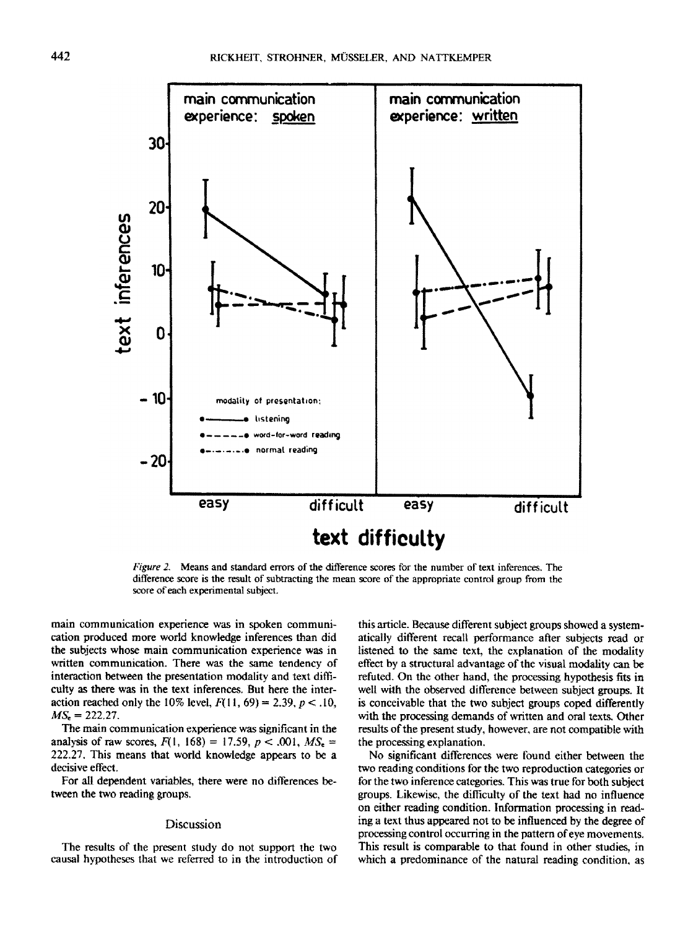

*Figure 2.* Means and standard errors of the difference scores for the number of text inferences. The difference score is the result of subtracting the mean score of the appropriate control group from the score of each experimental subject.

main communication experience was in spoken communication produced more world knowledge inferences than did the subjects whose main communication experience was in written communication. There was the same tendency of interaction between the presentation modality and text difficulty as there was in the text inferences. But here the interaction reached only the 10% level,  $F(11, 69) = 2.39$ ,  $p < .10$ ,  $MS = 222.27$ .

The main communication experience was significant in the analysis of raw scores,  $F(1, 168) = 17.59$ ,  $p < .001$ ,  $MS_e =$ 222.27. This means that world knowledge appears to be a decisive effect.

For all dependent variables, there were no differences between the two reading groups.

## Discussion

The results of the present study do not support the two causal hypotheses that we referred to in the introduction of this article. Because different subject groups showed a systematically different recall performance after subjects read or listened to the same text, the explanation of the modality effect by a structural advantage of the visual modality can be refuted. On the other hand, the processing hypothesis fits in well with the observed difference between subject groups. It is conceivable that the two subject groups coped differently with the processing demands of written and oral texts. Other results of the present study, however, are not compatible with the processing explanation.

No significant differences were found either between the two reading conditions for the two reproduction categories or for the two inference categories. This was true for both subject groups. Likewise, the difficulty of the text had no influence on either reading condition. Information processing in reading a text thus appeared not to be influenced by the degree of processing control occurring in the pattern of eye movements. This result is comparable to that found in other studies, in which a predominance of the natural reading condition, as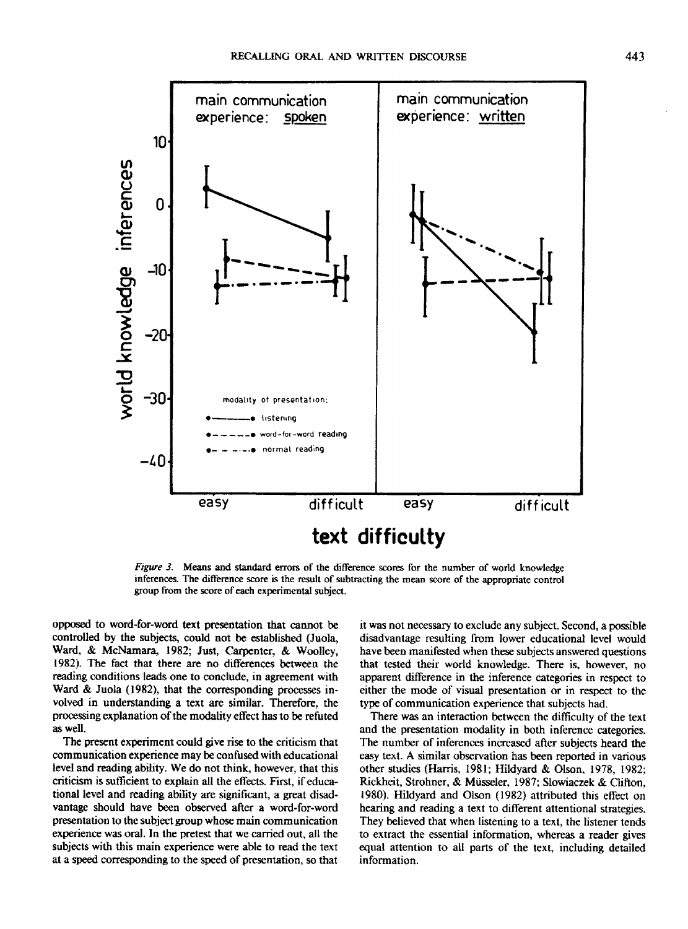

*Figure 3.* Means and standard errors of the difference scores for the number of world knowledge inferences. The difference score is the result of subtracting the mean score of the appropriate control group from the score of each experimental subject.

opposed to word-for-word text presentation that cannot be controlled by the subjects, could not be established (Juola, Ward, & McNamara, 1982; Just, Carpenter, & Woolley, 1982). The fact that there are no differences between the reading conditions leads one to conclude, in agreement with Ward  $&$  Juola (1982), that the corresponding processes involved in understanding a text are similar. Therefore, the processing explanation of the modality effect has to be refuted as well.

The present experiment could give rise to the criticism that communication experience may be confused with educational level and reading ability. We do not think, however, that this criticism is sufficient to explain all the effects. First, if educational level and reading ability are significant, a great disadvantage should have been observed after a word-for-word presentation to the subject group whose main communication experience was oral. In the pretest that we carried out, all the subjects with this main experience were able to read the text at a speed corresponding to the speed of presentation, so that

it was not necessary to exclude any subject. Second, a possible disadvantage resulting from lower educational level would have been manifested when these subjects answered questions that tested their world knowledge, There is, however, no apparent difference in the inference categories in respect to either the mode of visual presentation or in respect to the type of communication experience that subjects had.

There was an interaction between the difficulty of the text and the presentation modality in both inference categories. The number of inferences increased after subjects heard the easy text. A similar observation has been reported in various other studies (Harris, 1981; Hildyard & Olson, 1978, 1982; Rickheit, Strohner, & Miisseler, 1987; Slowiaczek & Clifton, 1980). Hildyard and Olson (1982) attributed this effect on hearing and reading a text to different attentional strategies. They believed that when listening to a text, the listener tends to extract the essential information, whereas a reader gives equal attention to all parts of the text, including detailed information.